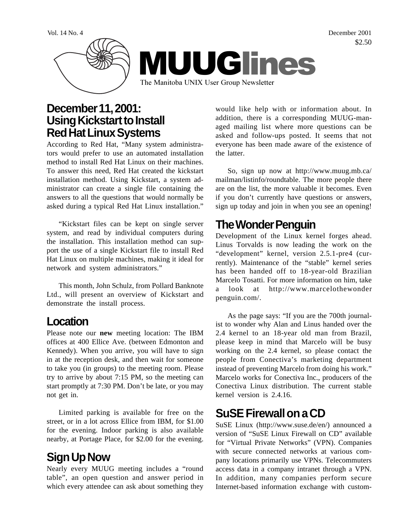

### **December 11, 2001: Using Kickstart to Install Red Hat Linux Systems**

According to Red Hat, "Many system administrators would prefer to use an automated installation method to install Red Hat Linux on their machines. To answer this need, Red Hat created the kickstart installation method. Using Kickstart, a system administrator can create a single file containing the answers to all the questions that would normally be asked during a typical Red Hat Linux installation."

"Kickstart files can be kept on single server system, and read by individual computers during the installation. This installation method can support the use of a single Kickstart file to install Red Hat Linux on multiple machines, making it ideal for network and system administrators."

This month, John Schulz, from Pollard Banknote Ltd., will present an overview of Kickstart and demonstrate the install process.

#### **Location**

Please note our **new** meeting location: The IBM offices at 400 Ellice Ave. (between Edmonton and Kennedy). When you arrive, you will have to sign in at the reception desk, and then wait for someone to take you (in groups) to the meeting room. Please try to arrive by about 7:15 PM, so the meeting can start promptly at 7:30 PM. Don't be late, or you may not get in.

Limited parking is available for free on the street, or in a lot across Ellice from IBM, for \$1.00 for the evening. Indoor parking is also available nearby, at Portage Place, for \$2.00 for the evening.

# **Sign Up Now**

Nearly every MUUG meeting includes a "round table", an open question and answer period in which every attendee can ask about something they

would like help with or information about. In addition, there is a corresponding MUUG-managed mailing list where more questions can be asked and follow-ups posted. It seems that not everyone has been made aware of the existence of the latter.

So, sign up now at http://www.muug.mb.ca/ mailman/listinfo/roundtable. The more people there are on the list, the more valuable it becomes. Even if you don't currently have questions or answers, sign up today and join in when you see an opening!

## **The Wonder Penguin**

Development of the Linux kernel forges ahead. Linus Torvalds is now leading the work on the "development" kernel, version 2.5.1-pre4 (currently). Maintenance of the "stable" kernel series has been handed off to 18-year-old Brazilian Marcelo Tosatti. For more information on him, take a look at http://www.marcelothewonder penguin.com/.

As the page says: "If you are the 700th journalist to wonder why Alan and Linus handed over the 2.4 kernel to an 18-year old man from Brazil, please keep in mind that Marcelo will be busy working on the 2.4 kernel, so please contact the people from Conectiva's marketing department instead of preventing Marcelo from doing his work." Marcelo works for Conectiva Inc., producers of the Conectiva Linux distribution. The current stable kernel version is 2.4.16.

## **SuSE Firewall on a CD**

SuSE Linux (http://www.suse.de/en/) announced a version of "SuSE Linux Firewall on CD" available for "Virtual Private Networks" (VPN). Companies with secure connected networks at various company locations primarily use VPNs. Telecommuters access data in a company intranet through a VPN. In addition, many companies perform secure Internet-based information exchange with custom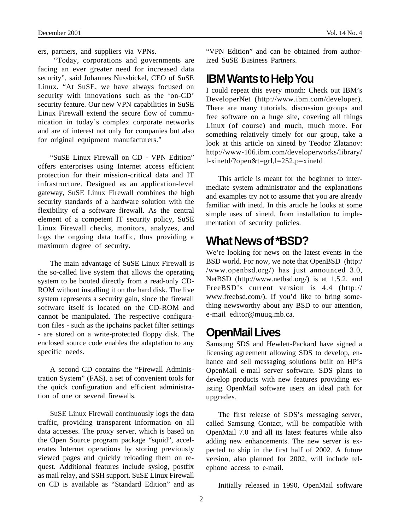ers, partners, and suppliers via VPNs.

 "Today, corporations and governments are facing an ever greater need for increased data security", said Johannes Nussbickel, CEO of SuSE Linux. "At SuSE, we have always focused on security with innovations such as the 'on-CD' security feature. Our new VPN capabilities in SuSE Linux Firewall extend the secure flow of communication in today's complex corporate networks and are of interest not only for companies but also for original equipment manufacturers."

"SuSE Linux Firewall on CD - VPN Edition" offers enterprises using Internet access efficient protection for their mission-critical data and IT infrastructure. Designed as an application-level gateway, SuSE Linux Firewall combines the high security standards of a hardware solution with the flexibility of a software firewall. As the central element of a competent IT security policy, SuSE Linux Firewall checks, monitors, analyzes, and logs the ongoing data traffic, thus providing a maximum degree of security.

The main advantage of SuSE Linux Firewall is the so-called live system that allows the operating system to be booted directly from a read-only CD-ROM without installing it on the hard disk. The live system represents a security gain, since the firewall software itself is located on the CD-ROM and cannot be manipulated. The respective configuration files - such as the ipchains packet filter settings - are stored on a write-protected floppy disk. The enclosed source code enables the adaptation to any specific needs.

A second CD contains the "Firewall Administration System" (FAS), a set of convenient tools for the quick configuration and efficient administration of one or several firewalls.

SuSE Linux Firewall continuously logs the data traffic, providing transparent information on all data accesses. The proxy server, which is based on the Open Source program package "squid", accelerates Internet operations by storing previously viewed pages and quickly reloading them on request. Additional features include syslog, postfix as mail relay, and SSH support. SuSE Linux Firewall on CD is available as "Standard Edition" and as "VPN Edition" and can be obtained from authorized SuSE Business Partners.

#### **IBM Wants to Help You**

I could repeat this every month: Check out IBM's DeveloperNet (http://www.ibm.com/developer). There are many tutorials, discussion groups and free software on a huge site, covering all things Linux (of course) and much, much more. For something relatively timely for our group, take a look at this article on xinetd by Teodor Zlatanov: http://www-106.ibm.com/developerworks/library/ l-xinetd/?open&t=grl,l=252,p=xinetd

This article is meant for the beginner to intermediate system administrator and the explanations and examples try not to assume that you are already familiar with inetd. In this article he looks at some simple uses of xinetd, from installation to implementation of security policies.

### **What News of \*BSD?**

We're looking for news on the latest events in the BSD world. For now, we note that OpenBSD (http:/ /www.openbsd.org/) has just announced 3.0, NetBSD (http://www.netbsd.org/) is at 1.5.2, and FreeBSD's current version is 4.4 (http:// www.freebsd.com/). If you'd like to bring something newsworthy about any BSD to our attention, e-mail editor@muug.mb.ca.

#### **OpenMail Lives**

Samsung SDS and Hewlett-Packard have signed a licensing agreement allowing SDS to develop, enhance and sell messaging solutions built on HP's OpenMail e-mail server software. SDS plans to develop products with new features providing existing OpenMail software users an ideal path for upgrades.

The first release of SDS's messaging server, called Samsung Contact, will be compatible with OpenMail 7.0 and all its latest features while also adding new enhancements. The new server is expected to ship in the first half of 2002. A future version, also planned for 2002, will include telephone access to e-mail.

Initially released in 1990, OpenMail software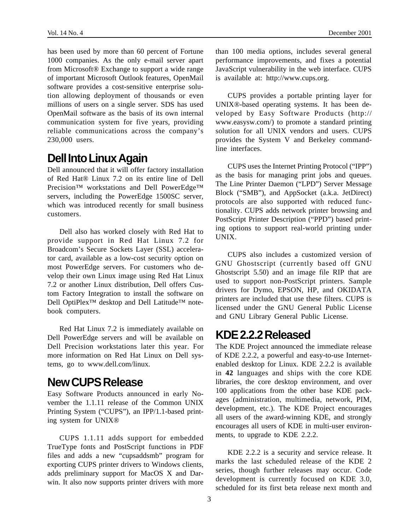has been used by more than 60 percent of Fortune 1000 companies. As the only e-mail server apart from Microsoft® Exchange to support a wide range of important Microsoft Outlook features, OpenMail software provides a cost-sensitive enterprise solution allowing deployment of thousands or even millions of users on a single server. SDS has used OpenMail software as the basis of its own internal communication system for five years, providing reliable communications across the company's 230,000 users.

### **Dell Into Linux Again**

Dell announced that it will offer factory installation of Red Hat® Linux 7.2 on its entire line of Dell Precision™ workstations and Dell PowerEdge™ servers, including the PowerEdge 1500SC server, which was introduced recently for small business customers.

Dell also has worked closely with Red Hat to provide support in Red Hat Linux 7.2 for Broadcom's Secure Sockets Layer (SSL) accelerator card, available as a low-cost security option on most PowerEdge servers. For customers who develop their own Linux image using Red Hat Linux 7.2 or another Linux distribution, Dell offers Custom Factory Integration to install the software on Dell OptiPlex<sup>™</sup> desktop and Dell Latitude<sup>™</sup> notebook computers.

Red Hat Linux 7.2 is immediately available on Dell PowerEdge servers and will be available on Dell Precision workstations later this year. For more information on Red Hat Linux on Dell systems, go to www.dell.com/linux.

#### **New CUPS Release**

Easy Software Products announced in early November the 1.1.11 release of the Common UNIX Printing System ("CUPS"), an IPP/1.1-based printing system for UNIX®

CUPS 1.1.11 adds support for embedded TrueType fonts and PostScript functions in PDF files and adds a new "cupsaddsmb" program for exporting CUPS printer drivers to Windows clients, adds preliminary support for MacOS X and Darwin. It also now supports printer drivers with more

than 100 media options, includes several general performance improvements, and fixes a potential JavaScript vulnerability in the web interface. CUPS is available at: http://www.cups.org.

CUPS provides a portable printing layer for UNIX®-based operating systems. It has been developed by Easy Software Products (http:// www.easysw.com/) to promote a standard printing solution for all UNIX vendors and users. CUPS provides the System V and Berkeley commandline interfaces.

CUPS uses the Internet Printing Protocol ("IPP") as the basis for managing print jobs and queues. The Line Printer Daemon ("LPD") Server Message Block ("SMB"), and AppSocket (a.k.a. JetDirect) protocols are also supported with reduced functionality. CUPS adds network printer browsing and PostScript Printer Description ("PPD") based printing options to support real-world printing under UNIX.

CUPS also includes a customized version of GNU Ghostscript (currently based off GNU Ghostscript 5.50) and an image file RIP that are used to support non-PostScript printers. Sample drivers for Dymo, EPSON, HP, and OKIDATA printers are included that use these filters. CUPS is licensed under the GNU General Public License and GNU Library General Public License.

### **KDE 2.2.2 Released**

The KDE Project announced the immediate release of KDE 2.2.2, a powerful and easy-to-use Internetenabled desktop for Linux. KDE 2.2.2 is available in **42** languages and ships with the core KDE libraries, the core desktop environment, and over 100 applications from the other base KDE packages (administration, multimedia, network, PIM, development, etc.). The KDE Project encourages all users of the award-winning KDE, and strongly encourages all users of KDE in multi-user environments, to upgrade to KDE 2.2.2.

KDE 2.2.2 is a security and service release. It marks the last scheduled release of the KDE 2 series, though further releases may occur. Code development is currently focused on KDE 3.0, scheduled for its first beta release next month and